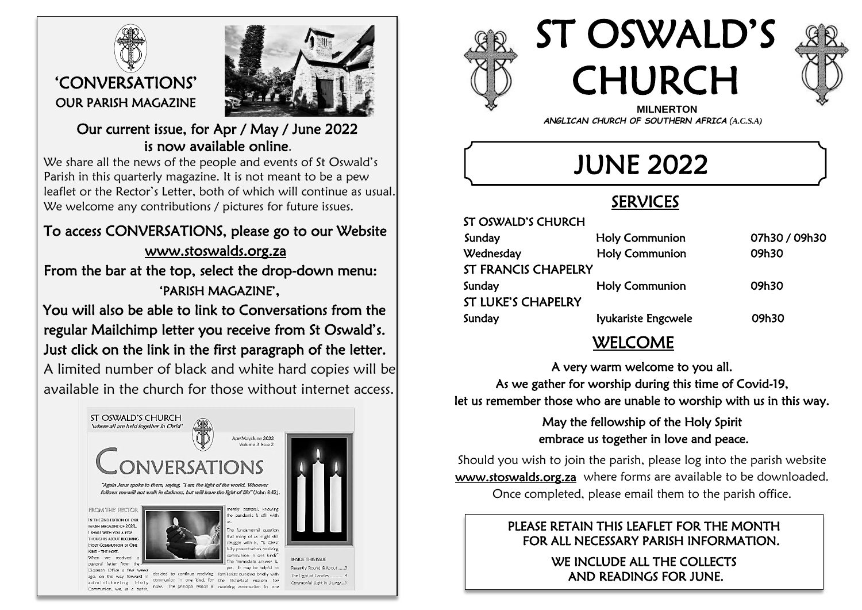

 $\overline{a}$ 



#### Our current issue, for Apr / May / June 2022 is now available online.

We share all the news of the people and events of St Oswald's Parish in this quarterly magazine. It is not meant to be a pew leaflet or the Rector's Letter, both of which will continue as usual. We welcome any contributions / pictures for future issues.

# To access CONVERSATIONS, please go to our Website [www.stoswalds.org.za](http://www.stoswalds.org.za/)

From the bar at the top, select the drop-down menu: 'PARISH MAGAZINE',

 You will also be able to link to Conversations from the regular Mailchimp letter you receive from St Oswald's. Just click on the link in the first paragraph of the letter.

A limited number of black and white hard copies will be available in the church for those without internet access.





ST OSWALD'S CHURCH





 *ANGLICAN CHURCH OF SOUTHERN AFRICA (A.C.S.A)*

JUNE 2022

# SERVICES

| 31 OSWALD S CHUKCH         |                       |               |  |  |
|----------------------------|-----------------------|---------------|--|--|
| Sunday                     | <b>Holy Communion</b> | 07h30 / 09h30 |  |  |
| Wednesday                  | <b>Holy Communion</b> | 09h30         |  |  |
| <b>ST FRANCIS CHAPELRY</b> |                       |               |  |  |
| Sunday                     | <b>Holy Communion</b> | 09h30         |  |  |
| <b>ST LUKE'S CHAPELRY</b>  |                       |               |  |  |
| Sunday                     | lyukariste Engcwele   | 09h30         |  |  |
|                            |                       |               |  |  |

### WELCOME

A very warm welcome to you all. As we gather for worship during this time of Covid-19, let us remember those who are unable to worship with us in this way.

> May the fellowship of the Holy Spirit embrace us together in love and peace.

Should you wish to join the parish, please log into the parish website [www.stoswalds.org.za](http://www.stoswalds.org.za/) where forms are available to be downloaded. Once completed, please email them to the parish office.

#### PLEASE RETAIN THIS LEAFLET FOR THE MONTH FOR ALL NECESSARY PARISH INFORMATION.

WE INCLUDE ALL THE COLLECTS AND READINGS FOR JUNE.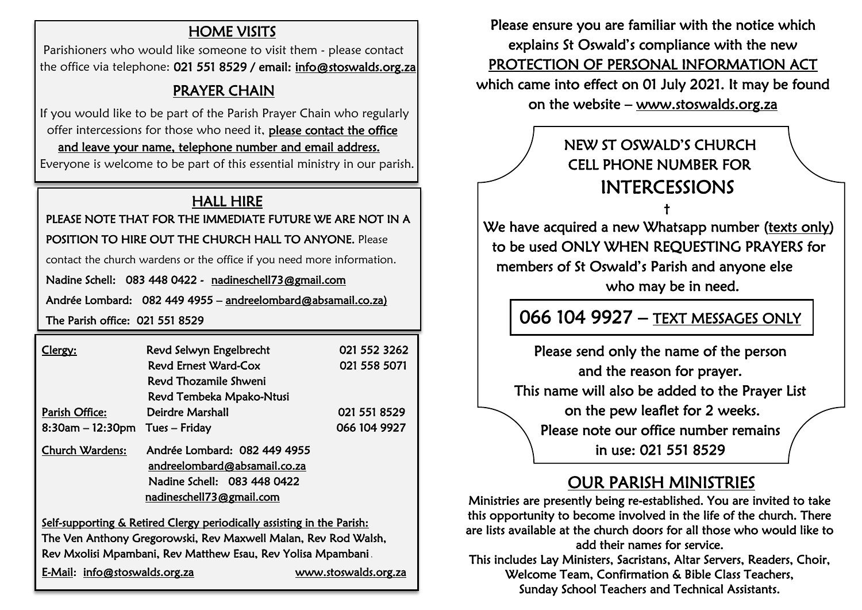#### HOME VISITS

 Parishioners who would like someone to visit them - please contact the office via telephone: 021 551 8529 / email: info@stoswalds.org.za

#### **PRAYER CHAIN**

 If you would like to be part of the Parish Prayer Chain who regularly offer intercessions for those who need it, please contact the office and leave your name, telephone number and email address.

Everyone is welcome to be part of this essential ministry in our parish.

#### HALL HIRE

PLEASE NOTE THAT FOR THE IMMEDIATE FUTURE WE ARE NOT IN A<br>POSITION TO HIRE OUT THE CHURCH HALL TO ANYONE. Please

#### POSITION TO HIRE OUT THE CHURCH HALL TO ANYONE. Please

contact the church wardens or the office if you need more information.

Nadine Schell: 083 448 0422 - nadineschell73@gmail.com bff<br><mark>ad</mark>

Andrée Lombard: 082 449 4955 – andreelombard@absamail.co.za)  $\overline{a}$ 

The Parish office: 021 551 8529

| Clergy:                           | Revd Selwyn Engelbrecht                                                                                                 | 021 552 3262 |
|-----------------------------------|-------------------------------------------------------------------------------------------------------------------------|--------------|
|                                   | Revd Ernest Ward-Cox                                                                                                    | 021 558 5071 |
|                                   | Revd Thozamile Shweni                                                                                                   |              |
|                                   | Revd Tembeka Mpako-Ntusi                                                                                                |              |
| Parish Office:                    | Deirdre Marshall                                                                                                        | 021 551 8529 |
| $8:30$ am - 12:30pm Tues - Friday |                                                                                                                         | 066 104 9927 |
| <b>Church Wardens:</b>            | Andrée Lombard: 082 449 4955<br>andreelombard@absamail.co.za<br>Nadine Schell: 083 448 0422<br>nadineschell73@gmail.com |              |

Self-supporting & Retired Clergy periodically assisting in the Parish: The Ven Anthony Gregorowski, Rev Maxwell Malan, Rev Rod Walsh, Rev Mxolisi Mpambani, Rev Matthew Esau, Rev Yolisa Mpambani ,

 $\overline{a}$ 

E-Mail: info[@stoswalds.org.za](mailto:saintoswald@xsinet.co.za) [www.stoswalds.org.za](http://www.stoswalds.org.za/) 

Please ensure you are familiar with the notice which explains St Oswald's compliance with the new PROTECTION OF PERSONAL INFORMATION ACT which came into effect on 01 July 2021. It may be found on the website – [www.stoswalds.org.za](http://www.stoswalds.org.za/) 

### NEW ST OSWALD'S CHURCH CELL PHONE NUMBER FOR INTERCESSIONS

 $\uparrow$  the state of the state  $\uparrow$ 

We have acquired a new Whatsapp number (texts only) to be used ONLY WHEN REQUESTING PRAYERS for members of St Oswald's Parish and anyone else who may be in need.

# 066 104 9927 – TEXT MESSAGES ONLY

Please send only the name of the person and the reason for prayer. This name will also be added to the Prayer List on the pew leaflet for 2 weeks. Please note our office number remains in use: 021 551 8529

# OUR PARISH MINISTRIES

Ministries are presently being re-established. You are invited to take this opportunity to become involved in the life of the church. There are lists available at the church doors for all those who would like to add their names for service.

This includes Lay Ministers, Sacristans, Altar Servers, Readers, Choir, Welcome Team, Confirmation & Bible Class Teachers, Sunday School Teachers and Technical Assistants.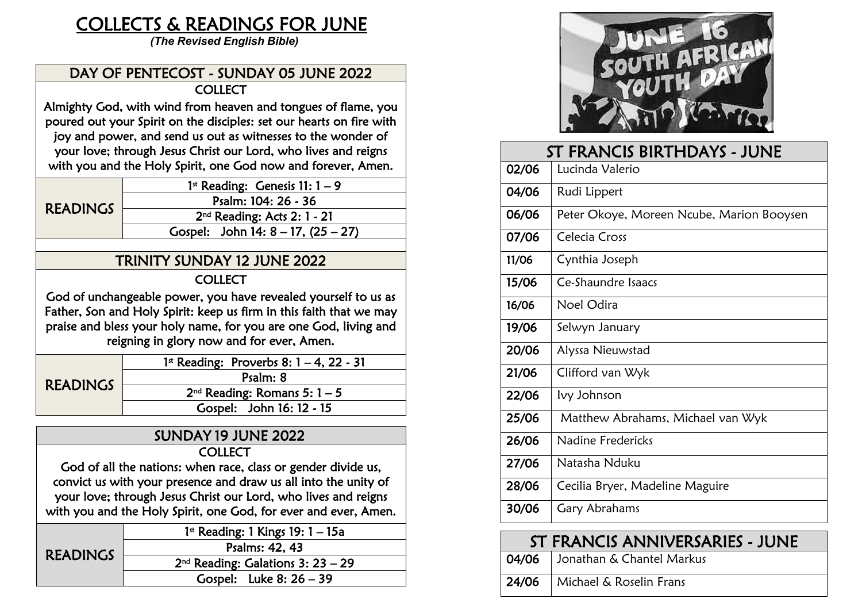# COLLECTS & READINGS FOR JUNE

 *(The Revised English Bible)*

#### DAY OF PENTECOST - SUNDAY 05 JUNE 2022 **COLLECT**

Almighty God, with wind from heaven and tongues of flame, you poured out your Spirit on the disciples: set our hearts on fire with joy and power, and send us out as witnesses to the wonder of your love; through Jesus Christ our Lord, who lives and reigns with you and the Holy Spirit, one God now and forever, Amen.  $\overline{a}$ 

| <b>READINGS</b> | 1 <sup>st</sup> Reading: Genesis 11: $1-9$ |  |
|-----------------|--------------------------------------------|--|
|                 | Psalm: 104: 26 - 36                        |  |
|                 | $2nd$ Reading: Acts 2: 1 - 21              |  |
|                 | Gospel: John 14: $8 - 17$ , $(25 - 27)$    |  |
|                 |                                            |  |

#### TRINITY SUNDAY 12 JUNE 2022

#### **COLLECT**

God of unchangeable power, you have revealed yourself to us as Father, Son and Holy Spirit: keep us firm in this faith that we may praise and bless your holy name, for you are one God, living and reigning in glory now and for ever, Amen.

| <b>READINGS</b> | 1st Reading: Proverbs 8: $1 - 4$ , 22 - 31 |  |
|-----------------|--------------------------------------------|--|
|                 | Psalm: 8                                   |  |
|                 | $2nd$ Reading: Romans 5: 1 – 5             |  |
|                 | Gospel: John 16: 12 - 15                   |  |

#### SUNDAY 19 JUNE 2022 **COLLECT**

God of all the nations: when race, class or gender divide us, convict us with your presence and draw us all into the unity of your love; through Jesus Christ our Lord, who lives and reigns with you and the Holy Spirit, one God, for ever and ever, Amen.

| <b>READINGS</b> | $1st$ Reading: 1 Kings 19: 1 – 15a  |  |
|-----------------|-------------------------------------|--|
|                 | Psalms: 42, 43                      |  |
|                 | $2nd$ Reading: Galations 3: 23 - 29 |  |
|                 | Gospel: Luke $8:26-39$              |  |



# ST FRANCIS BIRTHDAYS - JUNE 02/06 Lucinda Valerio 04/06 Rudi Lippert 06/06 Peter Okoye, Moreen Ncube, Marion Booysen 07/06 Celecia Cross 11/06 | Cynthia Joseph 15/06 Ce-Shaundre Isaacs 16/06 Noel Odira  $19/06$  Selwyn January 20/06 | Alyssa Nieuwstad 21/06 | Clifford van Wyk  $22/06$  Ivy Johnson 25/06 | Matthew Abrahams, Michael van Wyk 26/06 Nadine Fredericks 27/06 Natasha Nduku 28/06 | Cecilia Bryer, Madeline Maguire  $30/06$  Gary Abrahams

| ST FRANCIS ANNIVERSARIES - JUNE |                                 |  |
|---------------------------------|---------------------------------|--|
|                                 | 04/06 Jonathan & Chantel Markus |  |
|                                 | 24/06   Michael & Roselin Frans |  |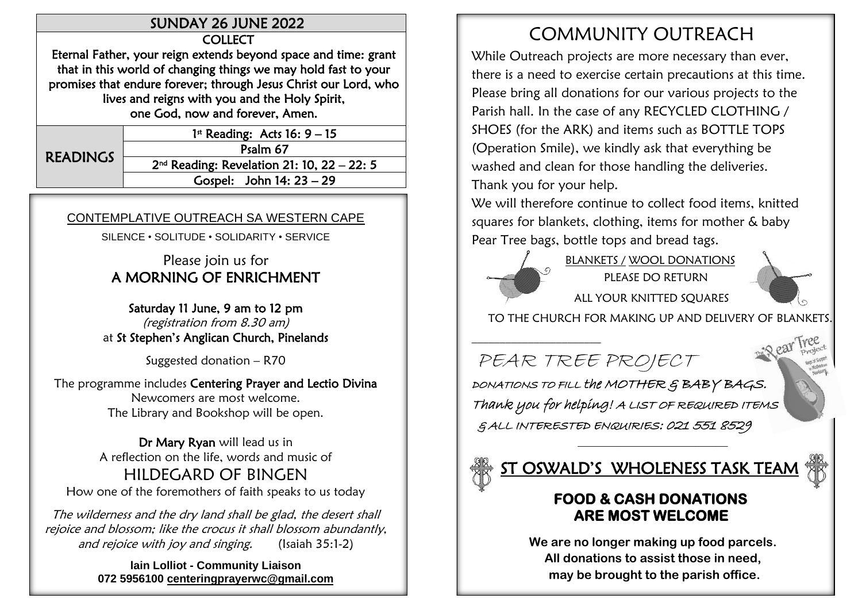#### SUNDAY 26 JUNE 2022

**COLLECT** 

Eternal Father, your reign extends beyond space and time: grant that in this world of changing things we may hold fast to your promises that endure forever; through Jesus Christ our Lord, who lives and reigns with you and the Holy Spirit, one God, now and forever, Amen.

 $\overline{a}$ READINGS 1 st Reading: Acts 16: 9 – 15 Psalm 67 2 nd Reading: Revelation 21: 10, 22 – 22: 5 Gospel: John 14: 23 – 29

#### CONTEMPLATIVE OUTREACH SA WESTERN CAPE

SILENCE • SOLITUDE • SOLIDARITY • SERVICE

#### Please join us for A MORNING OF ENRICHMENT

Saturday 11 June, 9 am to 12 pm (registration from 8.30 am) at St Stephen's Anglican Church, Pinelands

Suggested donation – R70

The programme includes Centering Prayer and Lectio Divina Newcomers are most welcome. The Library and Bookshop will be open.

Dr Mary Ryan will lead us in A reflection on the life, words and music of HILDEGARD OF BINGEN How one of the foremothers of faith speaks to us today

The wilderness and the dry land shall be glad, the desert shall rejoice and blossom; like the crocus it shall blossom abundantly, and rejoice with joy and singing. (Isaiah 35:1-2)

> **lain Lolliot - Community Liaison 072 5956100 [centeringprayerwc@gmail.com](mailto:centeringprayerwc@gmail.com)**

# COMMUNITY OUTREACH

While Outreach projects are more necessary than ever, there is a need to exercise certain precautions at this time. Please bring all donations for our various projects to the Parish hall. In the case of any RECYCLED CLOTHING / SHOES (for the ARK) and items such as BOTTLE TOPS (Operation Smile), we kindly ask that everything be washed and clean for those handling the deliveries.

Thank you for your help.

We will therefore continue to collect food items, knitted squares for blankets, clothing, items for mother & baby Pear Tree bags, bottle tops and bread tags.

\_\_\_\_\_\_\_\_\_\_\_\_\_\_\_\_\_\_\_\_\_\_\_

 BLANKETS / WOOL DONATIONS PLEASE DO RETURN ALL YOUR KNITTED SQUARES



TO THE CHURCH FOR MAKING UP AND DELIVERY OF BLANKETS.

PEAR TREE PROJECT

DONATIONS TO FILL the MOTHER & BABY BAGS. Thank you for helping! A LIST OF REQUIRED ITEMS & ALL INTERESTED ENQUIRIES: 021 551 8529

# <u>ST OSWALD'S WHOLENESS TASK TEAM</u>

#### **FOOD & CASH DONATIONS ARE MOST WELCOME**

\_\_\_\_\_\_\_\_\_\_\_\_\_\_\_\_\_\_\_\_\_\_\_\_\_\_\_\_\_\_\_\_\_\_\_\_\_\_\_\_\_\_\_\_\_\_\_\_\_\_\_\_\_\_\_\_\_\_\_\_\_

**We are no longer making up food parcels. All donations to assist those in need, may be brought to the parish office.**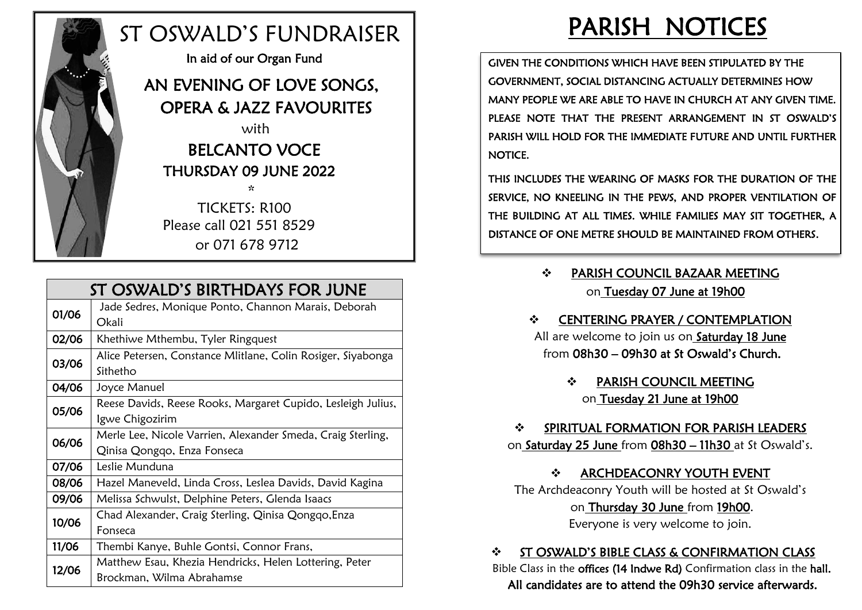

# ST OSWALD'S FUNDRAISER

In aid of our Organ Fund

#### AN EVENING OF LOVE SONGS, OPERA & JAZZ FAVOURITES with

# BELCANTO VOCE THURSDAY 09 JUNE 2022

 \* TICKETS: R100 Please call 021 551 8529 or 071 678 9712

|       | ST OSWALD'S BIRTHDAYS FOR JUNE                                                             |
|-------|--------------------------------------------------------------------------------------------|
| 01/06 | Jade Sedres, Monique Ponto, Channon Marais, Deborah<br>Okali                               |
| 02/06 | Khethiwe Mthembu, Tyler Ringquest                                                          |
| 03/06 | Alice Petersen, Constance Mlitlane, Colin Rosiger, Siyabonga<br>Sithetho                   |
| 04/06 | Joyce Manuel                                                                               |
| 05/06 | Reese Davids, Reese Rooks, Margaret Cupido, Lesleigh Julius,<br>Igwe Chigozirim            |
| 06/06 | Merle Lee, Nicole Varrien, Alexander Smeda, Craig Sterling,<br>Qinisa Qongqo, Enza Fonseca |
| 07/06 | Leslie Munduna                                                                             |
| 08/06 | Hazel Maneveld, Linda Cross, Leslea Davids, David Kagina                                   |
| 09/06 | Melissa Schwulst, Delphine Peters, Glenda Isaacs                                           |
| 10/06 | Chad Alexander, Craig Sterling, Qinisa Qongqo, Enza<br>Fonseca                             |
| 11/06 | Thembi Kanye, Buhle Gontsi, Connor Frans,                                                  |
| 12/06 | Matthew Esau, Khezia Hendricks, Helen Lottering, Peter<br>Brockman, Wilma Abrahamse        |

# PARISH NOTICES

GIVEN THE CONDITIONS WHICH HAVE BEEN STIPULATED BY THE GOVERNMENT, SOCIAL DISTANCING ACTUALLY DETERMINES HOW MANY PEOPLE WE ARE ABLE TO HAVE IN CHURCH AT ANY GIVEN TIME. PLEASE NOTE THAT THE PRESENT ARRANGEMENT IN ST OSWALD'S PARISH WILL HOLD FOR THE IMMEDIATE FUTURE AND UNTIL FURTHER NOTICE.

THIS INCLUDES THE WEARING OF MASKS FOR THE DURATION OF THE SERVICE, NO KNEELING IN THE PEWS, AND PROPER VENTILATION OF THE BUILDING AT ALL TIMES. WHILE FAMILIES MAY SIT TOGETHER, A DISTANCE OF ONE METRE SHOULD BE MAINTAINED FROM OTHERS.

- ❖ PARISH COUNCIL BAZAAR MEETING on Tuesday 07 June at 19h00
- ❖ CENTERING PRAYER / CONTEMPLATION All are welcome to join us on Saturday 18 June from 08h30 – 09h30 at St Oswald's Church.
	- ❖ PARISH COUNCIL MEETING on Tuesday 21 June at 19h00

❖ SPIRITUAL FORMATION FOR PARISH LEADERS on Saturday 25 June from 08h30 – 11h30 at St Oswald's.

#### ❖ ARCHDEACONRY YOUTH EVENT

The Archdeaconry Youth will be hosted at St Oswald's on Thursday 30 June from 19h00.

Everyone is very welcome to join.

#### ❖ ST OSWALD'S BIBLE CLASS & CONFIRMATION CLASS

 Bible Class in the offices (14 Indwe Rd) Confirmation class in the hall. All candidates are to attend the 09h30 service afterwards.